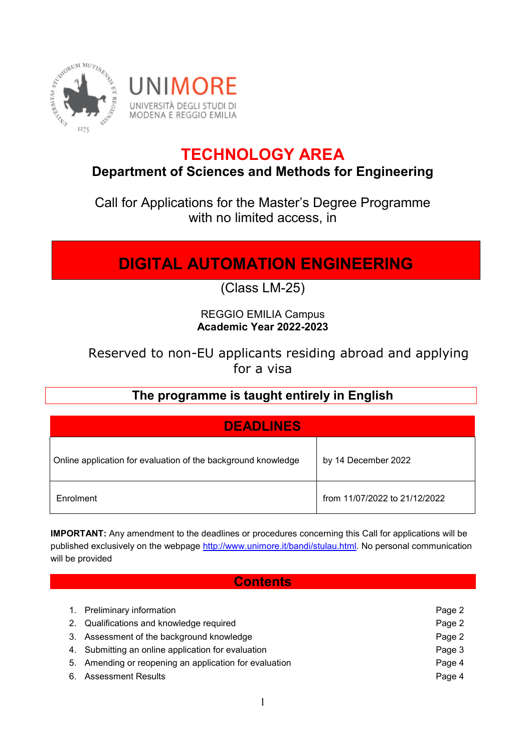

# **TECHNOLOGY AREA**

## **Department of Sciences and Methods for Engineering**

Call for Applications for the Master's Degree Programme with no limited access, in

# **DIGITAL AUTOMATION ENGINEERING**

(Class LM-25)

### REGGIO EMILIA Campus **Academic Year 2022-2023**

## Reserved to non-EU applicants residing abroad and applying for a visa

## **The programme is taught entirely in English**

| <b>DEADLINES</b>                                              |                               |
|---------------------------------------------------------------|-------------------------------|
| Online application for evaluation of the background knowledge | by 14 December 2022           |
| Enrolment                                                     | from 11/07/2022 to 21/12/2022 |

**IMPORTANT:** Any amendment to the deadlines or procedures concerning this Call for applications will be published exclusively on the webpage [http://www.unimore.it/bandi/stulau.html.](http://www.unimore.it/bandi/stulau.html) No personal communication will be provided

#### **Contents**

| 1. Preliminary information                             | Page 2 |
|--------------------------------------------------------|--------|
| 2. Qualifications and knowledge required               | Page 2 |
| 3. Assessment of the background knowledge              | Page 2 |
| 4. Submitting an online application for evaluation     | Page 3 |
| 5. Amending or reopening an application for evaluation | Page 4 |
| 6. Assessment Results                                  | Page 4 |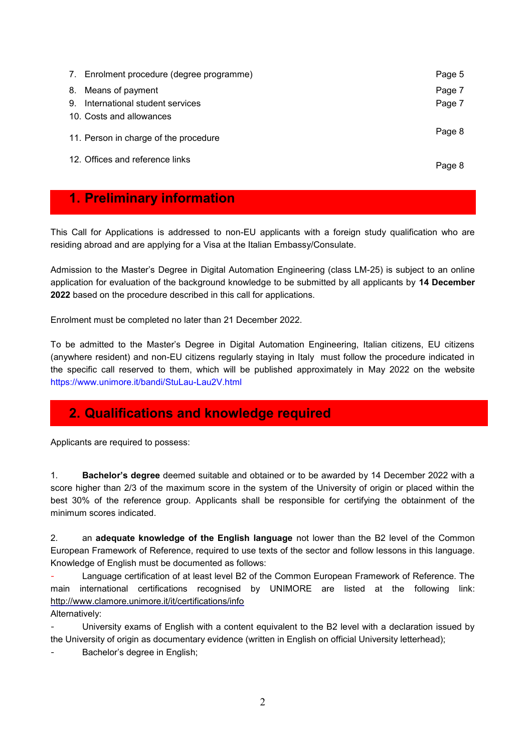|          | 7. Enrolment procedure (degree programme)                         | Page 5           |
|----------|-------------------------------------------------------------------|------------------|
| 8.<br>9. | Means of payment<br>International student services                | Page 7<br>Page 7 |
|          | 10. Costs and allowances<br>11. Person in charge of the procedure | Page 8           |
|          | 12. Offices and reference links                                   | Page 8           |
|          |                                                                   |                  |

## **1. Preliminary information**

This Call for Applications is addressed to non-EU applicants with a foreign study qualification who are residing abroad and are applying for a Visa at the Italian Embassy/Consulate.

Admission to the Master's Degree in Digital Automation Engineering (class LM-25) is subject to an online application for evaluation of the background knowledge to be submitted by all applicants by **14 December 2022** based on the procedure described in this call for applications.

Enrolment must be completed no later than 21 December 2022.

To be admitted to the Master's Degree in Digital Automation Engineering, Italian citizens, EU citizens (anywhere resident) and non-EU citizens regularly staying in Italy must follow the procedure indicated in the specific call reserved to them, which will be published approximately in May 2022 on the website <https://www.unimore.it/bandi/StuLau-Lau2V.html>

## **2. Qualifications and knowledge required**

Applicants are required to possess:

1. **Bachelor's degree** deemed suitable and obtained or to be awarded by 14 December 2022 with a score higher than 2/3 of the maximum score in the system of the University of origin or placed within the best 30% of the reference group. Applicants shall be responsible for certifying the obtainment of the minimum scores indicated.

2. an **adequate knowledge of the English language** not lower than the B2 level of the Common European Framework of Reference, required to use texts of the sector and follow lessons in this language. Knowledge of English must be documented as follows:

Language certification of at least level B2 of the Common European Framework of Reference. The main international certifications recognised by UNIMORE are listed at the following link: <http://www.clamore.unimore.it/it/certifications/info> Alternatively:

University exams of English with a content equivalent to the B2 level with a declaration issued by the University of origin as documentary evidence (written in English on official University letterhead);

Bachelor's degree in English;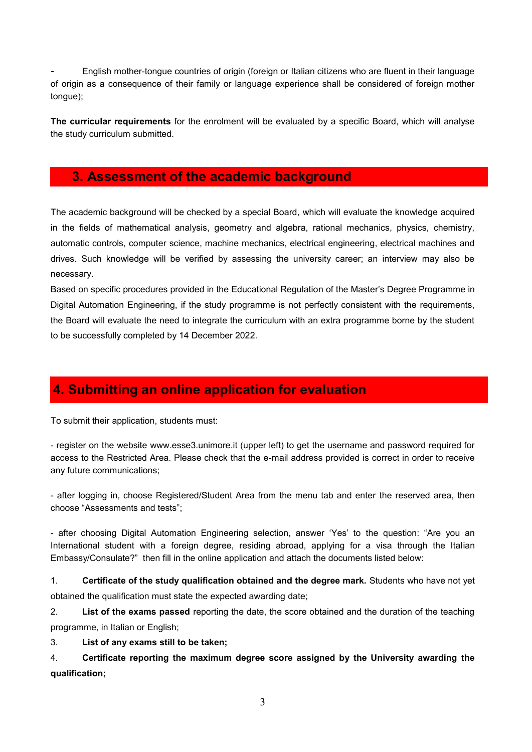- English mother-tongue countries of origin (foreign or Italian citizens who are fluent in their language of origin as a consequence of their family or language experience shall be considered of foreign mother tongue);

**The curricular requirements** for the enrolment will be evaluated by a specific Board, which will analyse the study curriculum submitted.

### **3. Assessment of the academic background**

The academic background will be checked by a special Board, which will evaluate the knowledge acquired in the fields of mathematical analysis, geometry and algebra, rational mechanics, physics, chemistry, automatic controls, computer science, machine mechanics, electrical engineering, electrical machines and drives. Such knowledge will be verified by assessing the university career; an interview may also be necessary.

Based on specific procedures provided in the Educational Regulation of the Master's Degree Programme in Digital Automation Engineering, if the study programme is not perfectly consistent with the requirements, the Board will evaluate the need to integrate the curriculum with an extra programme borne by the student to be successfully completed by 14 December 2022.

## **4. Submitting an online application for evaluation**

To submit their application, students must:

- register on the website [www.esse3.unimore.it](http://www.esse3.unimore.it/) (upper left) to get the username and password required for access to the Restricted Area. Please check that the e-mail address provided is correct in order to receive any future communications;

- after logging in, choose Registered/Student Area from the menu tab and enter the reserved area, then choose "Assessments and tests";

- after choosing Digital Automation Engineering selection, answer 'Yes' to the question: "Are you an International student with a foreign degree, residing abroad, applying for a visa through the Italian Embassy/Consulate?" then fill in the online application and attach the documents listed below:

1. **Certificate of the study qualification obtained and the degree mark.** Students who have not yet obtained the qualification must state the expected awarding date;

2. **List of the exams passed** reporting the date, the score obtained and the duration of the teaching programme, in Italian or English;

3. **List of any exams still to be taken;**

4. **Certificate reporting the maximum degree score assigned by the University awarding the qualification;**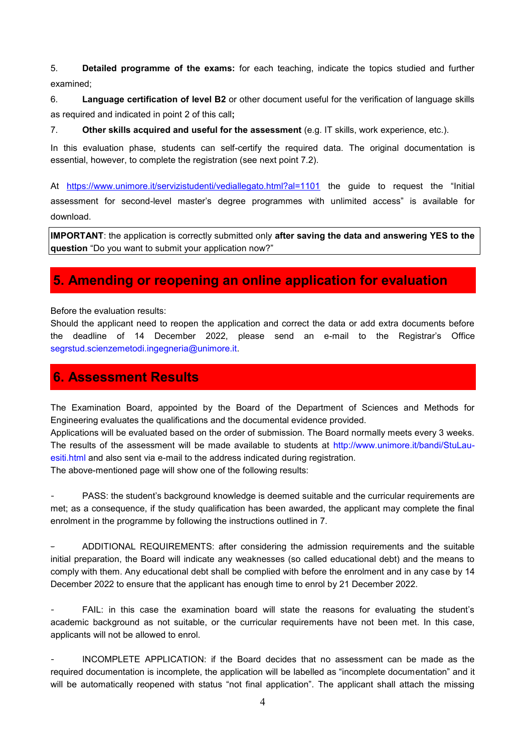5. **Detailed programme of the exams:** for each teaching, indicate the topics studied and further examined;

6. **Language certification of level B2** or other document useful for the verification of language skills as required and indicated in point 2 of this call**;**

7. **Other skills acquired and useful for the assessment** (e.g. IT skills, work experience, etc.).

In this evaluation phase, students can self-certify the required data. The original documentation is essential, however, to complete the registration (see next point 7.2).

At <https://www.unimore.it/servizistudenti/vediallegato.html?al=1101> the guide to request the "Initial assessment for second-level master's degree programmes with unlimited access" is available for download.

**IMPORTANT**: the application is correctly submitted only **after saving the data and answering YES to the question** "Do you want to submit your application now?"

### **5. Amending or reopening an online application for evaluation**

Before the evaluation results:

Should the applicant need to reopen the application and correct the data or add extra documents before the deadline of 14 December 2022, please send an e-mail to the Registrar's Office [segrstud.scienzemetodi.ingegneria@unimore.it.](mailto:segrstud.scienzemetodi.ingegneria@unimore.it)

## **6. Assessment Results**

The Examination Board, appointed by the Board of the Department of Sciences and Methods for Engineering evaluates the qualifications and the documental evidence provided.

Applications will be evaluated based on the order of submission. The Board normally meets every 3 weeks. The results of the assessment will be made available to students at [http://www.unimore.it/bandi/StuLau](http://www.unimore.it/bandi/StuLau-esiti.html)[esiti.html](http://www.unimore.it/bandi/StuLau-esiti.html) and also sent via e-mail to the address indicated during registration.

The above-mentioned page will show one of the following results:

PASS: the student's background knowledge is deemed suitable and the curricular requirements are met; as a consequence, if the study qualification has been awarded, the applicant may complete the final enrolment in the programme by following the instructions outlined in 7.

- ADDITIONAL REQUIREMENTS: after considering the admission requirements and the suitable initial preparation, the Board will indicate any weaknesses (so called educational debt) and the means to comply with them. Any educational debt shall be complied with before the enrolment and in any case by 14 December 2022 to ensure that the applicant has enough time to enrol by 21 December 2022.

FAIL: in this case the examination board will state the reasons for evaluating the student's academic background as not suitable, or the curricular requirements have not been met. In this case, applicants will not be allowed to enrol.

INCOMPLETE APPLICATION: if the Board decides that no assessment can be made as the required documentation is incomplete, the application will be labelled as "incomplete documentation" and it will be automatically reopened with status "not final application". The applicant shall attach the missing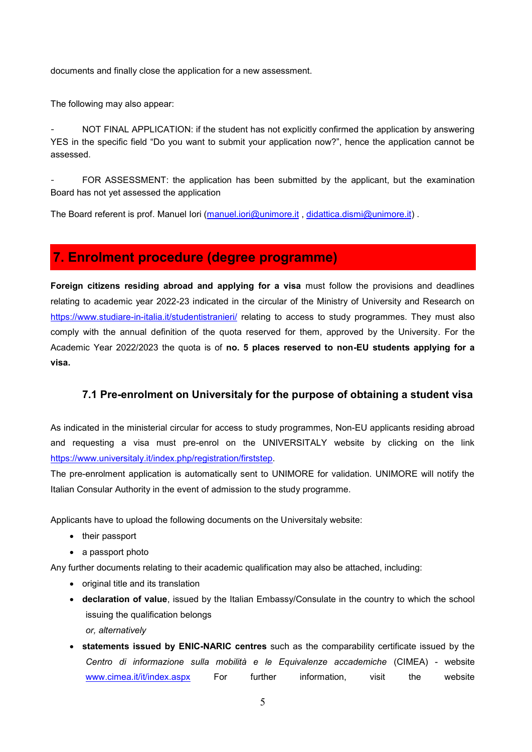documents and finally close the application for a new assessment.

The following may also appear:

NOT FINAL APPLICATION: if the student has not explicitly confirmed the application by answering YES in the specific field "Do you want to submit your application now?", hence the application cannot be assessed.

FOR ASSESSMENT: the application has been submitted by the applicant, but the examination Board has not yet assessed the application

The Board referent is prof. Manuel Iori [\(manuel.iori@unimore.it](mailto:manuel.iori@unimore.it) , [didattica.dismi@unimore.it\)](mailto:didattica.dismi@unimore.it) .

# **7. Enrolment procedure (degree programme)**

**Foreign citizens residing abroad and applying for a visa** must follow the provisions and deadlines relating to academic year 2022-23 indicated in the circular of the Ministry of University and Research on <https://www.studiare-in-italia.it/studentistranieri/> relating to access to study programmes. They must also comply with the annual definition of the quota reserved for them, approved by the University. For the Academic Year 2022/2023 the quota is of **no. 5 places reserved to non-EU students applying for a visa.**

#### **7.1 Pre-enrolment on Universitaly for the purpose of obtaining a student visa**

As indicated in the ministerial circular for access to study programmes, Non-EU applicants residing abroad and requesting a visa must pre-enrol on the UNIVERSITALY website by clicking on the link [https://www.universitaly.it/index.php/registration/firststep.](https://www.universitaly.it/index.php/registration/firststep)

The pre-enrolment application is automatically sent to UNIMORE for validation. UNIMORE will notify the Italian Consular Authority in the event of admission to the study programme.

Applicants have to upload the following documents on the Universitaly website:

- their passport
- a passport photo

Any further documents relating to their academic qualification may also be attached, including:

- original title and its translation
- **declaration of value**, issued by the Italian Embassy/Consulate in the country to which the school issuing the qualification belongs *or, alternatively*
- **statements issued by ENIC-NARIC centres** such as the comparability certificate issued by the *Centro di informazione sulla mobilità e le Equivalenze accademiche* (CIMEA) - website [www.cimea.it/it/index.aspx](http://www.cimea.it/it/index.aspx) For further information, visit the website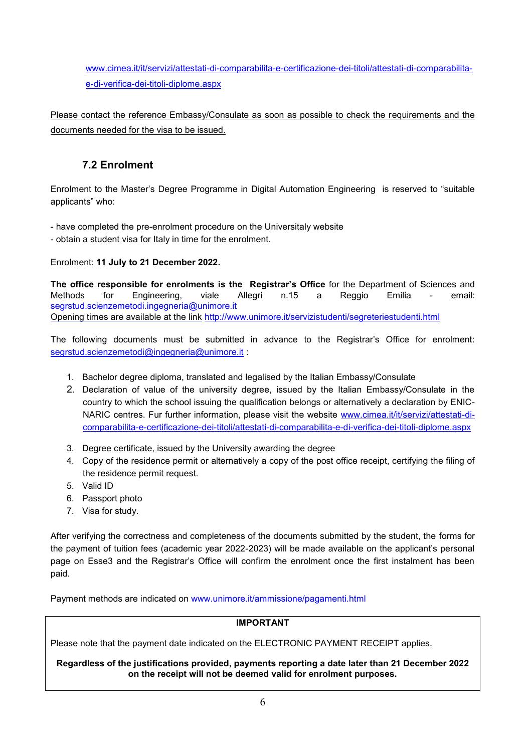[www.cimea.it/it/servizi/attestati-di-comparabilita-e-certificazione-dei-titoli/attestati-di-comparabilita](http://www.cimea.it/it/servizi/attestati-di-comparabilita-e-certificazione-dei-titoli/attestati-di-comparabilita-e-di-verifica-dei-titoli-diplome.aspx)[e-di-verifica-dei-titoli-diplome.aspx](http://www.cimea.it/it/servizi/attestati-di-comparabilita-e-certificazione-dei-titoli/attestati-di-comparabilita-e-di-verifica-dei-titoli-diplome.aspx)

Please contact the reference Embassy/Consulate as soon as possible to check the requirements and the documents needed for the visa to be issued.

### **7.2 Enrolment**

Enrolment to the Master's Degree Programme in Digital Automation Engineering is reserved to "suitable applicants" who:

- have completed the pre-enrolment procedure on the Universitaly website

- obtain a student visa for Italy in time for the enrolment.

Enrolment: **11 July to 21 December 2022.**

**The office responsible for enrolments is the Registrar's Office** for the Department of Sciences and Methods for Engineering, viale Allegri n.15 a Reggio Emilia - email: [segrstud.scienzemetodi.ingegneria@unimore.it](mailto:segrstud.scienzemetodi.ingegneria@unimore.it) Opening times are available at the link <http://www.unimore.it/servizistudenti/segreteriestudenti.html>

The following documents must be submitted in advance to the Registrar's Office for enrolment: [segrstud.scienzemetodi@ingegneria@unimore.it](mailto:segrstud.scienzemetodi@ingegneria@unimore.it) :

- 1. Bachelor degree diploma, translated and legalised by the Italian Embassy/Consulate
- 2. Declaration of value of the university degree, issued by the Italian Embassy/Consulate in the country to which the school issuing the qualification belongs or alternatively a declaration by ENICNARIC centres. Fur further information, please visit the website [www.cimea.it/it/servizi/attestati-di](http://www.cimea.it/it/servizi/attestati-di-comparabilita-e-certificazione-dei-titoli/attestati-di-comparabilita-e-di-verifica-dei-titoli-diplome.aspx)[comparabilita-e-certificazione-dei-titoli/attestati-di-comparabilita-e-di-verifica-dei-titoli-diplome.aspx](http://www.cimea.it/it/servizi/attestati-di-comparabilita-e-certificazione-dei-titoli/attestati-di-comparabilita-e-di-verifica-dei-titoli-diplome.aspx)
- 3. Degree certificate, issued by the University awarding the degree
- 4. Copy of the residence permit or alternatively a copy of the post office receipt, certifying the filing of the residence permit request.
- 5. Valid ID
- 6. Passport photo
- 7. Visa for study.

After verifying the correctness and completeness of the documents submitted by the student, the forms for the payment of tuition fees (academic year 2022-2023) will be made available on the applicant's personal page on Esse3 and the Registrar's Office will confirm the enrolment once the first instalment has been paid.

Payment methods are indicated on [www.unimore.it/ammissione/pagamenti.html](http://www.unimore.it/ammissione/pagamenti.html)

#### **IMPORTANT**

Please note that the payment date indicated on the ELECTRONIC PAYMENT RECEIPT applies.

#### **Regardless of the justifications provided, payments reporting a date later than 21 December 2022 on the receipt will not be deemed valid for enrolment purposes.**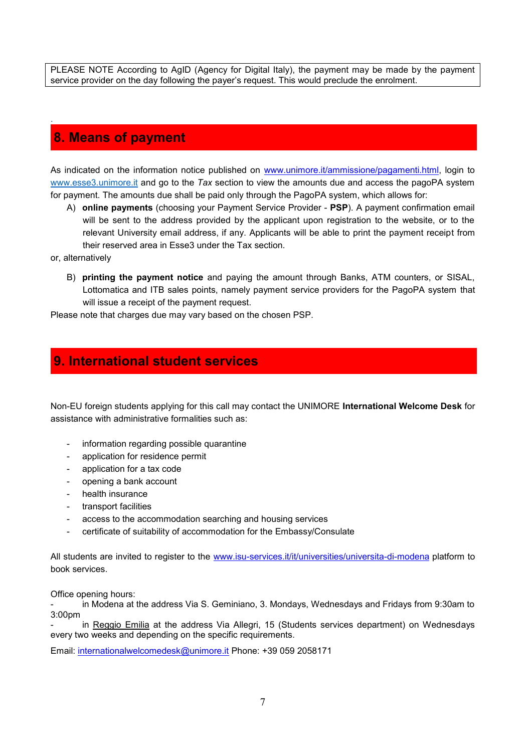PLEASE NOTE According to AgID (Agency for Digital Italy), the payment may be made by the payment service provider on the day following the payer's request. This would preclude the enrolment.

## **8. Means of payment**

As indicated on the information notice published on [www.unimore.it/ammissione/pagamenti.html,](http://www.unimore.it/ammissione/pagamenti.html) login to [www.esse3.unimore.it](http://www.esse3.unimore.it/) and go to the *Tax* section to view the amounts due and access the pagoPA system for payment. The amounts due shall be paid only through the PagoPA system, which allows for:

- A) **online payments** (choosing your Payment Service Provider **PSP**). A payment confirmation email will be sent to the address provided by the applicant upon registration to the website, or to the relevant University email address, if any. Applicants will be able to print the payment receipt from their reserved area in Esse3 under the Tax section.
- or, alternatively

.

B) **printing the payment notice** and paying the amount through Banks, ATM counters, or SISAL, Lottomatica and ITB sales points, namely payment service providers for the PagoPA system that will issue a receipt of the payment request.

Please note that charges due may vary based on the chosen PSP.

### **9. International student services**

Non-EU foreign students applying for this call may contact the UNIMORE **International Welcome Desk** for assistance with administrative formalities such as:

- information regarding possible quarantine
- application for residence permit
- application for a tax code
- opening a bank account
- health insurance
- transport facilities
- access to the accommodation searching and housing services
- certificate of suitability of accommodation for the Embassy/Consulate

All students are invited to register to the [www.isu-services.it/it/universities/universita-di-modena](http://www.isu-services.it/it/universities/universita-di-modena) platform to book services.

Office opening hours:

in Modena at the address Via S. Geminiano, 3. Mondays, Wednesdays and Fridays from 9:30am to 3:00pm

in Reggio Emilia at the address Via Allegri, 15 (Students services department) on Wednesdays every two weeks and depending on the specific requirements.

Email: [internationalwelcomedesk@unimore.it](mailto:internationalwelcomedesk@unimore.it) Phone: +39 059 2058171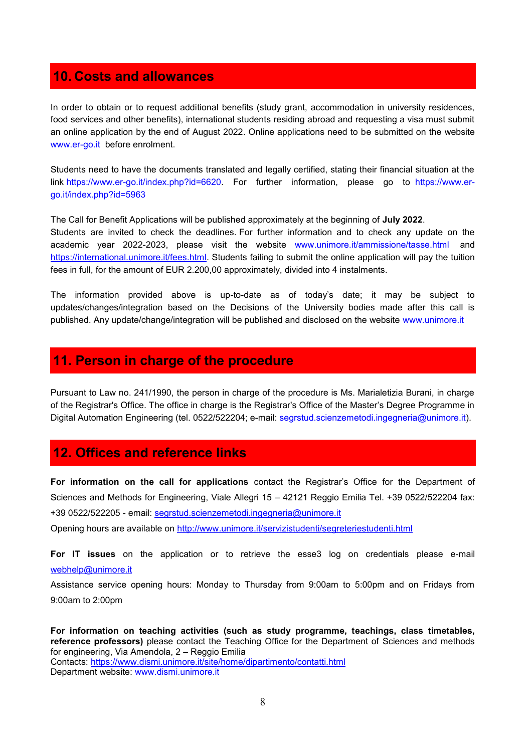## **10. Costs and allowances**

In order to obtain or to request additional benefits (study grant, accommodation in university residences, food services and other benefits), international students residing abroad and requesting a visa must submit an online application by the end of August 2022. Online applications need to be submitted on the website [www.er-go.it](http://www.er-go.it/) before enrolment.

Students need to have the documents translated and legally certified, stating their financial situation at the link [https://www.er-go.it/index.php?id=6620.](https://www.er-go.it/index.php?id=6620) For further information, please go to [https://www.er](file:///C:/Users/crosselli/AppData/Local/Temp/mq/j5cit/ https:/www.er-go.it/index.php%3fid=5963)[go.it/index.php?id=5963](file:///C:/Users/crosselli/AppData/Local/Temp/mq/j5cit/ https:/www.er-go.it/index.php%3fid=5963)

The Call for Benefit Applications will be published approximately at the beginning of **July 2022**. Students are invited to check the deadlines. For further information and to check any update on the academic year 2022-2023, please visit the website [www.unimore.it/ammissione/tasse.html](http://www.unimore.it/ammissione/tasse.html) and [https://international.unimore.it/fees.html.](https://international.unimore.it/fees.html) Students failing to submit the online application will pay the tuition fees in full, for the amount of EUR 2.200,00 approximately, divided into 4 instalments.

The information provided above is up-to-date as of today's date; it may be subject to updates/changes/integration based on the Decisions of the University bodies made after this call is published. Any update/change/integration will be published and disclosed on the website [www.unimore.it](http://www.unimore.it/)

### **11. Person in charge of the procedure**

Pursuant to Law no. 241/1990, the person in charge of the procedure is Ms. Marialetizia Burani, in charge of the Registrar's Office. The office in charge is the Registrar's Office of the Master's Degree Programme in Digital Automation Engineering (tel. 0522/522204; e-mail: [segrstud.scienzemetodi.ingegneria@unimore.it\)](mailto:segrstud.scienzemetodi.ingegneria@unimore.it).

#### **12. Offices and reference links**

**For information on the call for applications** contact the Registrar's Office for the Department of Sciences and Methods for Engineering, Viale Allegri 15 – 42121 Reggio Emilia Tel. +39 0522/522204 fax: +39 0522/522205 - email: [segrstud.scienzemetodi.ingegneria@unimore.it](mailto:segrstud.scienzemetodi.ingegneria@unimore.it)

Opening hours are available on<http://www.unimore.it/servizistudenti/segreteriestudenti.html>

**For IT issues** on the application or to retrieve the esse3 log on credentials please e-mail [webhelp@unimore.it](mailto:webhelp@unimore.it) 

Assistance service opening hours: Monday to Thursday from 9:00am to 5:00pm and on Fridays from 9:00am to 2:00pm

**For information on teaching activities (such as study programme, teachings, class timetables, reference professors)** please contact the Teaching Office for the Department of Sciences and methods for engineering, Via Amendola, 2 – Reggio Emilia Contacts:<https://www.dismi.unimore.it/site/home/dipartimento/contatti.html> Department website: [www.dismi.unimore.it](http://www.dismi.unimore.it/)